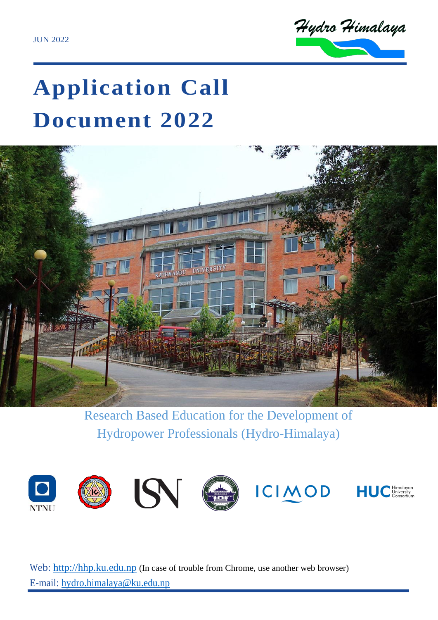

# **Application Call Document 2022**



Research Based Education for the Development of Hydropower Professionals (Hydro-Himalaya)



Web: [http://hhp.ku.edu.np](http://hhp.ku.edu.np/) (In case of trouble from Chrome, use another web browser) E-mail: [hydro.himalaya@ku.edu.np](mailto:hydro.himalaya@ku.edu.np)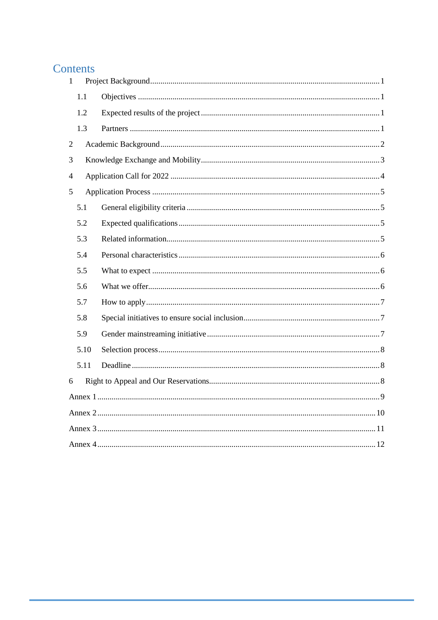## Contents

| $\mathbf{1}$   |      |  |  |  |  |
|----------------|------|--|--|--|--|
|                | 1.1  |  |  |  |  |
|                | 1.2  |  |  |  |  |
|                | 1.3  |  |  |  |  |
| $\overline{2}$ |      |  |  |  |  |
| 3              |      |  |  |  |  |
| $\overline{4}$ |      |  |  |  |  |
| 5              |      |  |  |  |  |
|                | 5.1  |  |  |  |  |
|                | 5.2  |  |  |  |  |
|                | 5.3  |  |  |  |  |
|                | 5.4  |  |  |  |  |
|                | 5.5  |  |  |  |  |
|                | 5.6  |  |  |  |  |
|                | 5.7  |  |  |  |  |
|                | 5.8  |  |  |  |  |
|                | 5.9  |  |  |  |  |
|                | 5.10 |  |  |  |  |
|                | 5.11 |  |  |  |  |
| 6              |      |  |  |  |  |
|                |      |  |  |  |  |
|                |      |  |  |  |  |
|                |      |  |  |  |  |
|                |      |  |  |  |  |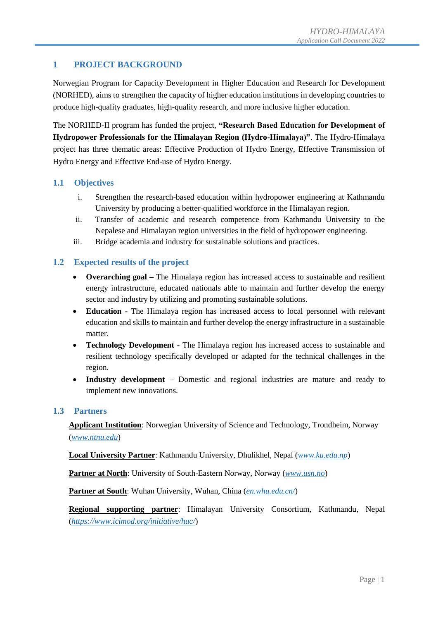#### <span id="page-2-0"></span>**1 PROJECT BACKGROUND**

Norwegian Program for Capacity Development in Higher Education and Research for Development (NORHED), aims to strengthen the capacity of higher education institutions in developing countries to produce high-quality graduates, high-quality research, and more inclusive higher education.

The NORHED-II program has funded the project, **"Research Based Education for Development of Hydropower Professionals for the Himalayan Region (Hydro-Himalaya)"**. The Hydro-Himalaya project has three thematic areas: Effective Production of Hydro Energy, Effective Transmission of Hydro Energy and Effective End-use of Hydro Energy.

#### <span id="page-2-1"></span>**1.1 Objectives**

- i. Strengthen the research-based education within hydropower engineering at Kathmandu University by producing a better-qualified workforce in the Himalayan region.
- ii. Transfer of academic and research competence from Kathmandu University to the Nepalese and Himalayan region universities in the field of hydropower engineering.
- iii. Bridge academia and industry for sustainable solutions and practices.

#### <span id="page-2-2"></span>**1.2 Expected results of the project**

- **Overarching goal –** The Himalaya region has increased access to sustainable and resilient energy infrastructure, educated nationals able to maintain and further develop the energy sector and industry by utilizing and promoting sustainable solutions.
- **Education -** The Himalaya region has increased access to local personnel with relevant education and skills to maintain and further develop the energy infrastructure in a sustainable matter.
- **Technology Development -** The Himalaya region has increased access to sustainable and resilient technology specifically developed or adapted for the technical challenges in the region.
- **Industry development –** Domestic and regional industries are mature and ready to implement new innovations.

#### <span id="page-2-3"></span>**1.3 Partners**

**Applicant Institution**: Norwegian University of Science and Technology, Trondheim, Norway (*[www.ntnu.edu](http://www.ntnu.edu/)*)

**Local University Partner**: Kathmandu University, Dhulikhel, Nepal (*[www.ku.edu.np](http://www.ku.edu.np/)*)

**Partner at North**: University of South-Eastern Norway, Norway (*[www.usn.no](http://www.usn.no/)*)

**Partner at South**: Wuhan University, Wuhan, China (*[en.whu.edu.cn/](https://en.whu.edu.cn/)*)

**Regional supporting partner**: Himalayan University Consortium, Kathmandu, Nepal (*<https://www.icimod.org/initiative/huc/>*)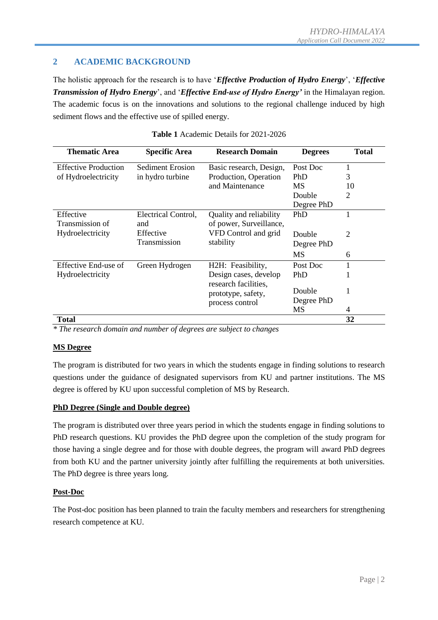#### <span id="page-3-0"></span>**2 ACADEMIC BACKGROUND**

The holistic approach for the research is to have '*Effective Production of Hydro Energy*', '*Effective Transmission of Hydro Energy*', and '*Effective End-use of Hydro Energy'* in the Himalayan region. The academic focus is on the innovations and solutions to the regional challenge induced by high sediment flows and the effective use of spilled energy.

| <b>Thematic Area</b>        | <b>Specific Area</b>    | <b>Research Domain</b>                        | <b>Degrees</b> | <b>Total</b>   |
|-----------------------------|-------------------------|-----------------------------------------------|----------------|----------------|
| <b>Effective Production</b> | <b>Sediment Erosion</b> | Basic research, Design,                       | Post Doc       | 1              |
| of Hydroelectricity         | in hydro turbine        | Production, Operation                         | PhD            | 3              |
|                             |                         | and Maintenance                               | <b>MS</b>      | 10             |
|                             |                         |                                               | Double         | $\overline{2}$ |
|                             |                         |                                               | Degree PhD     |                |
| Effective                   | Electrical Control,     | Quality and reliability                       | PhD            |                |
| Transmission of             | and                     | of power, Surveillance,                       |                |                |
| Hydroelectricity            | Effective               | VFD Control and grid                          | Double         | $\overline{2}$ |
|                             | Transmission            | stability                                     | Degree PhD     |                |
|                             |                         |                                               | <b>MS</b>      | 6              |
| Effective End-use of        | Green Hydrogen          | H2H: Feasibility,                             | Post Doc       |                |
| Hydroelectricity            |                         | Design cases, develop<br>research facilities, | <b>PhD</b>     |                |
|                             |                         | prototype, safety,                            | Double         | 1              |
|                             |                         | process control                               | Degree PhD     |                |
|                             |                         |                                               | MS             | $\overline{4}$ |
| Total                       |                         |                                               |                | 32             |

| <b>Table 1</b> Academic Details for 2021-2026 |
|-----------------------------------------------|
|-----------------------------------------------|

*\* The research domain and number of degrees are subject to changes*

#### **MS Degree**

The program is distributed for two years in which the students engage in finding solutions to research questions under the guidance of designated supervisors from KU and partner institutions. The MS degree is offered by KU upon successful completion of MS by Research.

#### **PhD Degree (Single and Double degree)**

The program is distributed over three years period in which the students engage in finding solutions to PhD research questions. KU provides the PhD degree upon the completion of the study program for those having a single degree and for those with double degrees, the program will award PhD degrees from both KU and the partner university jointly after fulfilling the requirements at both universities. The PhD degree is three years long.

#### **Post-Doc**

The Post-doc position has been planned to train the faculty members and researchers for strengthening research competence at KU.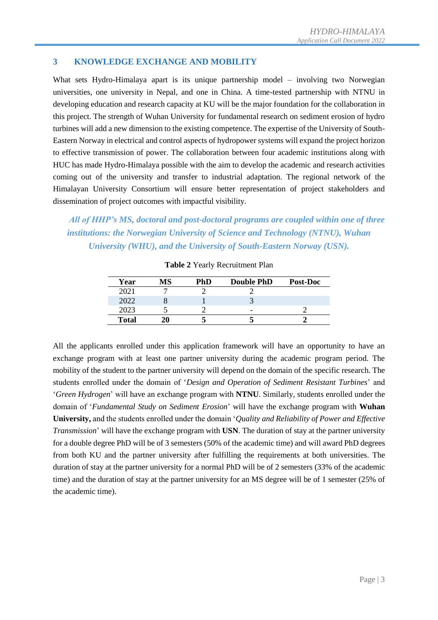#### <span id="page-4-0"></span>**3 KNOWLEDGE EXCHANGE AND MOBILITY**

What sets Hydro-Himalaya apart is its unique partnership model – involving two Norwegian universities, one university in Nepal, and one in China. A time-tested partnership with NTNU in developing education and research capacity at KU will be the major foundation for the collaboration in this project. The strength of Wuhan University for fundamental research on sediment erosion of hydro turbines will add a new dimension to the existing competence. The expertise of the University of South-Eastern Norway in electrical and control aspects of hydropower systems will expand the project horizon to effective transmission of power. The collaboration between four academic institutions along with HUC has made Hydro-Himalaya possible with the aim to develop the academic and research activities coming out of the university and transfer to industrial adaptation. The regional network of the Himalayan University Consortium will ensure better representation of project stakeholders and dissemination of project outcomes with impactful visibility.

*All of HHP's MS, doctoral and post-doctoral programs are coupled within one of three institutions: the Norwegian University of Science and Technology (NTNU), Wuhan University (WHU), and the University of South-Eastern Norway (USN).*

| Year         | ИS | PhD | <b>Double PhD</b> | Post-Doc |
|--------------|----|-----|-------------------|----------|
| 2021         |    |     |                   |          |
| 2022         |    |     |                   |          |
| 2023         |    |     | -                 |          |
| <b>Total</b> |    |     |                   |          |

**Table 2** Yearly Recruitment Plan

All the applicants enrolled under this application framework will have an opportunity to have an exchange program with at least one partner university during the academic program period. The mobility of the student to the partner university will depend on the domain of the specific research. The students enrolled under the domain of '*Design and Operation of Sediment Resistant Turbines*' and '*Green Hydrogen*' will have an exchange program with **NTNU**. Similarly, students enrolled under the domain of '*Fundamental Study on Sediment Erosion*' will have the exchange program with **Wuhan University,** and the students enrolled under the domain '*Quality and Reliability of Power and Effective Transmission*' will have the exchange program with **USN**. The duration of stay at the partner university for a double degree PhD will be of 3 semesters (50% of the academic time) and will award PhD degrees from both KU and the partner university after fulfilling the requirements at both universities. The duration of stay at the partner university for a normal PhD will be of 2 semesters (33% of the academic time) and the duration of stay at the partner university for an MS degree will be of 1 semester (25% of the academic time).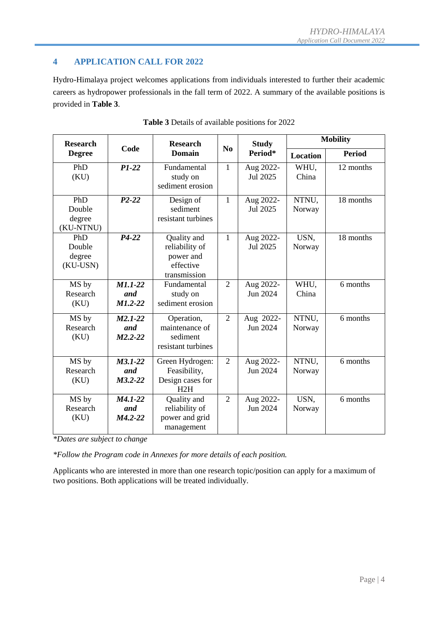## <span id="page-5-0"></span>**4 APPLICATION CALL FOR 2022**

Hydro-Himalaya project welcomes applications from individuals interested to further their academic careers as hydropower professionals in the fall term of 2022. A summary of the available positions is provided in **[Table 3](#page-5-1)**.

<span id="page-5-1"></span>

| <b>Research</b>                      |                                 | <b>Research</b>                                                         |                | <b>Study</b>          | <b>Mobility</b> |               |
|--------------------------------------|---------------------------------|-------------------------------------------------------------------------|----------------|-----------------------|-----------------|---------------|
| <b>Degree</b>                        | Code                            | <b>Domain</b>                                                           | N <sub>0</sub> | Period*               | <b>Location</b> | <b>Period</b> |
| PhD<br>(KU)                          | $P1-22$                         | Fundamental<br>study on<br>sediment erosion                             | $\mathbf{1}$   | Aug 2022-<br>Jul 2025 | WHU,<br>China   | 12 months     |
| PhD<br>Double<br>degree<br>(KU-NTNU) | $P2-22$                         | Design of<br>sediment<br>resistant turbines                             | 1              | Aug 2022-<br>Jul 2025 | NTNU,<br>Norway | 18 months     |
| PhD<br>Double<br>degree<br>(KU-USN)  | $P4-22$                         | Quality and<br>reliability of<br>power and<br>effective<br>transmission | $\mathbf{1}$   | Aug 2022-<br>Jul 2025 | USN,<br>Norway  | 18 months     |
| MS by<br>Research<br>(KU)            | $M1.1-22$<br>and<br>$M1.2 - 22$ | Fundamental<br>study on<br>sediment erosion                             | $\overline{2}$ | Aug 2022-<br>Jun 2024 | WHU,<br>China   | 6 months      |
| MS by<br>Research<br>(KU)            | $M2.1-22$<br>and<br>$M2.2 - 22$ | Operation,<br>maintenance of<br>sediment<br>resistant turbines          | $\overline{2}$ | Aug 2022-<br>Jun 2024 | NTNU,<br>Norway | 6 months      |
| MS by<br>Research<br>(KU)            | $M3.1-22$<br>and<br>$M3.2 - 22$ | Green Hydrogen:<br>Feasibility,<br>Design cases for<br>H2H              | $\overline{2}$ | Aug 2022-<br>Jun 2024 | NTNU,<br>Norway | 6 months      |
| MS by<br>Research<br>(KU)            | $M4.1-22$<br>and<br>$M4.2 - 22$ | Quality and<br>reliability of<br>power and grid<br>management           | $\overline{2}$ | Aug 2022-<br>Jun 2024 | USN,<br>Norway  | 6 months      |

|  | Table 3 Details of available positions for 2022 |  |  |
|--|-------------------------------------------------|--|--|
|  |                                                 |  |  |

*\*Dates are subject to change*

*\*Follow the Program code in Annexes for more details of each position.*

Applicants who are interested in more than one research topic/position can apply for a maximum of two positions. Both applications will be treated individually.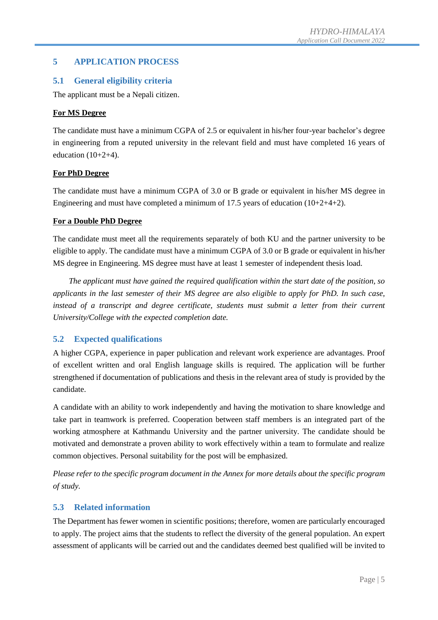#### <span id="page-6-0"></span>**5 APPLICATION PROCESS**

#### <span id="page-6-1"></span>**5.1 General eligibility criteria**

The applicant must be a Nepali citizen.

#### **For MS Degree**

The candidate must have a minimum CGPA of 2.5 or equivalent in his/her four-year bachelor's degree in engineering from a reputed university in the relevant field and must have completed 16 years of education  $(10+2+4)$ .

#### **For PhD Degree**

The candidate must have a minimum CGPA of 3.0 or B grade or equivalent in his/her MS degree in Engineering and must have completed a minimum of 17.5 years of education  $(10+2+4+2)$ .

#### **For a Double PhD Degree**

The candidate must meet all the requirements separately of both KU and the partner university to be eligible to apply. The candidate must have a minimum CGPA of 3.0 or B grade or equivalent in his/her MS degree in Engineering. MS degree must have at least 1 semester of independent thesis load.

*The applicant must have gained the required qualification within the start date of the position, so applicants in the last semester of their MS degree are also eligible to apply for PhD. In such case, instead of a transcript and degree certificate, students must submit a letter from their current University/College with the expected completion date.*

#### <span id="page-6-2"></span>**5.2 Expected qualifications**

A higher CGPA, experience in paper publication and relevant work experience are advantages. Proof of excellent written and oral English language skills is required. The application will be further strengthened if documentation of publications and thesis in the relevant area of study is provided by the candidate.

A candidate with an ability to work independently and having the motivation to share knowledge and take part in teamwork is preferred. Cooperation between staff members is an integrated part of the working atmosphere at Kathmandu University and the partner university. The candidate should be motivated and demonstrate a proven ability to work effectively within a team to formulate and realize common objectives. Personal suitability for the post will be emphasized.

*Please refer to the specific program document in the Annex for more details about the specific program of study.*

#### <span id="page-6-3"></span>**5.3 Related information**

The Department has fewer women in scientific positions; therefore, women are particularly encouraged to apply. The project aims that the students to reflect the diversity of the general population. An expert assessment of applicants will be carried out and the candidates deemed best qualified will be invited to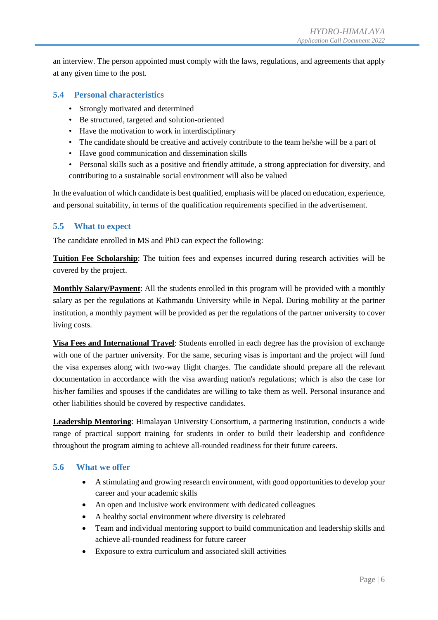an interview. The person appointed must comply with the laws, regulations, and agreements that apply at any given time to the post.

#### <span id="page-7-0"></span>**5.4 Personal characteristics**

- Strongly motivated and determined
- Be structured, targeted and solution-oriented
- Have the motivation to work in interdisciplinary
- The candidate should be creative and actively contribute to the team he/she will be a part of
- Have good communication and dissemination skills
- Personal skills such as a positive and friendly attitude, a strong appreciation for diversity, and contributing to a sustainable social environment will also be valued

In the evaluation of which candidate is best qualified, emphasis will be placed on education, experience, and personal suitability, in terms of the qualification requirements specified in the advertisement.

#### <span id="page-7-1"></span>**5.5 What to expect**

The candidate enrolled in MS and PhD can expect the following:

**Tuition Fee Scholarship**: The tuition fees and expenses incurred during research activities will be covered by the project.

**Monthly Salary/Payment**: All the students enrolled in this program will be provided with a monthly salary as per the regulations at Kathmandu University while in Nepal. During mobility at the partner institution, a monthly payment will be provided as per the regulations of the partner university to cover living costs.

**Visa Fees and International Travel**: Students enrolled in each degree has the provision of exchange with one of the partner university. For the same, securing visas is important and the project will fund the visa expenses along with two-way flight charges. The candidate should prepare all the relevant documentation in accordance with the visa awarding nation's regulations; which is also the case for his/her families and spouses if the candidates are willing to take them as well. Personal insurance and other liabilities should be covered by respective candidates.

**Leadership Mentoring**: Himalayan University Consortium, a partnering institution, conducts a wide range of practical support training for students in order to build their leadership and confidence throughout the program aiming to achieve all-rounded readiness for their future careers.

#### **5.6 What we offer**

- <span id="page-7-2"></span> A stimulating and growing research environment, with good opportunities to develop your career and your academic skills
- An open and inclusive work environment with dedicated colleagues
- A healthy social environment where diversity is celebrated
- Team and individual mentoring support to build communication and leadership skills and achieve all-rounded readiness for future career
- Exposure to extra curriculum and associated skill activities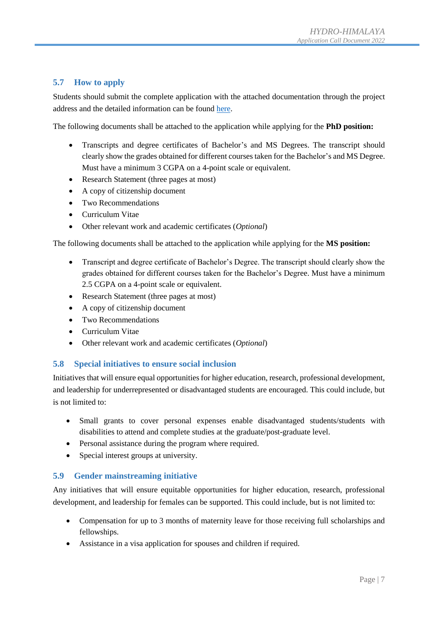### <span id="page-8-0"></span>**5.7 How to apply**

Students should submit the complete application with the attached documentation through the project address and the detailed information can be found [here.](http://hhp.ku.edu.np/application-call-2022-2/)

The following documents shall be attached to the application while applying for the **PhD position:**

- Transcripts and degree certificates of Bachelor's and MS Degrees. The transcript should clearly show the grades obtained for different courses taken for the Bachelor's and MS Degree. Must have a minimum 3 CGPA on a 4-point scale or equivalent.
- Research Statement (three pages at most)
- A copy of citizenship document
- Two Recommendations
- Curriculum Vitae
- Other relevant work and academic certificates (*Optional*)

The following documents shall be attached to the application while applying for the **MS position:**

- Transcript and degree certificate of Bachelor's Degree. The transcript should clearly show the grades obtained for different courses taken for the Bachelor's Degree. Must have a minimum 2.5 CGPA on a 4-point scale or equivalent.
- Research Statement (three pages at most)
- A copy of citizenship document
- Two Recommendations
- Curriculum Vitae
- Other relevant work and academic certificates (*Optional*)

#### <span id="page-8-1"></span>**5.8 Special initiatives to ensure social inclusion**

Initiatives that will ensure equal opportunities for higher education, research, professional development, and leadership for underrepresented or disadvantaged students are encouraged. This could include, but is not limited to:

- Small grants to cover personal expenses enable disadvantaged students/students with disabilities to attend and complete studies at the graduate/post-graduate level.
- Personal assistance during the program where required.
- Special interest groups at university.

#### <span id="page-8-2"></span>**5.9 Gender mainstreaming initiative**

Any initiatives that will ensure equitable opportunities for higher education, research, professional development, and leadership for females can be supported. This could include, but is not limited to:

- Compensation for up to 3 months of maternity leave for those receiving full scholarships and fellowships.
- Assistance in a visa application for spouses and children if required.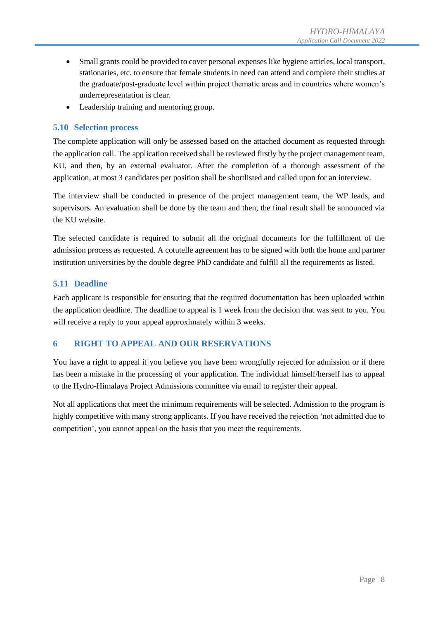- Small grants could be provided to cover personal expenses like hygiene articles, local transport, stationaries, etc. to ensure that female students in need can attend and complete their studies at the graduate/post-graduate level within project thematic areas and in countries where women's underrepresentation is clear.
- Leadership training and mentoring group.

#### <span id="page-9-0"></span>**5.10 Selection process**

The complete application will only be assessed based on the attached document as requested through the application call. The application received shall be reviewed firstly by the project management team, KU, and then, by an external evaluator. After the completion of a thorough assessment of the application, at most 3 candidates per position shall be shortlisted and called upon for an interview.

The interview shall be conducted in presence of the project management team, the WP leads, and supervisors. An evaluation shall be done by the team and then, the final result shall be announced via the KU website.

The selected candidate is required to submit all the original documents for the fulfillment of the admission process as requested. A cotutelle agreement has to be signed with both the home and partner institution universities by the double degree PhD candidate and fulfill all the requirements as listed.

#### <span id="page-9-1"></span>**5.11 Deadline**

Each applicant is responsible for ensuring that the required documentation has been uploaded within the application deadline. The deadline to appeal is 1 week from the decision that was sent to you. You will receive a reply to your appeal approximately within 3 weeks.

#### <span id="page-9-2"></span>**6 RIGHT TO APPEAL AND OUR RESERVATIONS**

You have a right to appeal if you believe you have been wrongfully rejected for admission or if there has been a mistake in the processing of your application. The individual himself/herself has to appeal to the Hydro-Himalaya Project Admissions committee via email to register their appeal.

Not all applications that meet the minimum requirements will be selected. Admission to the program is highly competitive with many strong applicants. If you have received the rejection 'not admitted due to competition', you cannot appeal on the basis that you meet the requirements.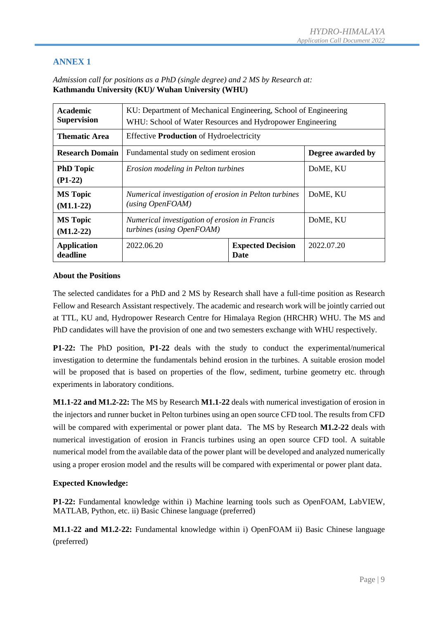| Academic<br><b>Supervision</b>                                                                              | KU: Department of Mechanical Engineering, School of Engineering<br>WHU: School of Water Resources and Hydropower Engineering |                                         |            |  |  |
|-------------------------------------------------------------------------------------------------------------|------------------------------------------------------------------------------------------------------------------------------|-----------------------------------------|------------|--|--|
| <b>Thematic Area</b>                                                                                        | <b>Effective Production of Hydroelectricity</b>                                                                              |                                         |            |  |  |
| <b>Research Domain</b>                                                                                      | Fundamental study on sediment erosion                                                                                        | Degree awarded by                       |            |  |  |
| <b>PhD Topic</b><br>$(P1-22)$                                                                               | Erosion modeling in Pelton turbines                                                                                          | DoME, KU                                |            |  |  |
| Numerical investigation of erosion in Pelton turbines<br><b>MS</b> Topic<br>(using OpenFORM)<br>$(M1.1-22)$ |                                                                                                                              | DoME, KU                                |            |  |  |
| <b>MS</b> Topic<br>$(M1.2-22)$                                                                              | Numerical investigation of erosion in Francis<br>turbines (using OpenFOAM)                                                   |                                         | DoME, KU   |  |  |
| <b>Application</b><br>deadline                                                                              | 2022.06.20                                                                                                                   | <b>Expected Decision</b><br><b>Date</b> | 2022.07.20 |  |  |

<span id="page-10-0"></span>*Admission call for positions as a PhD (single degree) and 2 MS by Research at:* **Kathmandu University (KU)/ Wuhan University (WHU)**

#### **About the Positions**

The selected candidates for a PhD and 2 MS by Research shall have a full-time position as Research Fellow and Research Assistant respectively. The academic and research work will be jointly carried out at TTL, KU and, Hydropower Research Centre for Himalaya Region (HRCHR) WHU. The MS and PhD candidates will have the provision of one and two semesters exchange with WHU respectively.

**P1-22:** The PhD position, **P1-22** deals with the study to conduct the experimental/numerical investigation to determine the fundamentals behind erosion in the turbines. A suitable erosion model will be proposed that is based on properties of the flow, sediment, turbine geometry etc. through experiments in laboratory conditions.

**M1.1-22 and M1.2-22:** The MS by Research **M1.1-22** deals with numerical investigation of erosion in the injectors and runner bucket in Pelton turbines using an open source CFD tool. The results from CFD will be compared with experimental or power plant data. The MS by Research **M1.2-22** deals with numerical investigation of erosion in Francis turbines using an open source CFD tool. A suitable numerical model from the available data of the power plant will be developed and analyzed numerically using a proper erosion model and the results will be compared with experimental or power plant data.

#### **Expected Knowledge:**

**P1-22:** Fundamental knowledge within i) Machine learning tools such as OpenFOAM, LabVIEW, MATLAB, Python, etc. ii) Basic Chinese language (preferred)

**M1.1-22 and M1.2-22:** Fundamental knowledge within i) OpenFOAM ii) Basic Chinese language (preferred)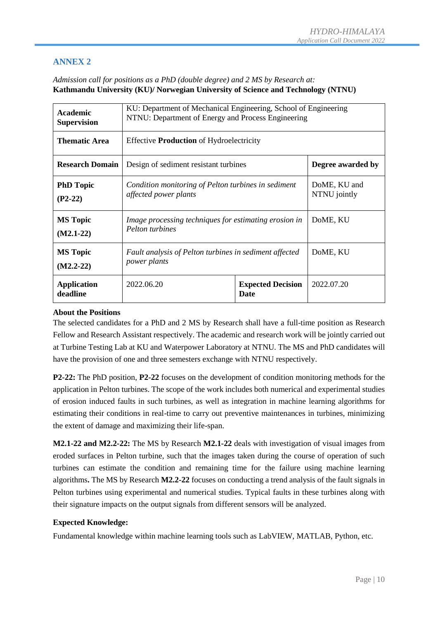#### <span id="page-11-0"></span>*Admission call for positions as a PhD (double degree) and 2 MS by Research at:* **Kathmandu University (KU)/ Norwegian University of Science and Technology (NTNU)**

| <b>Academic</b><br><b>Supervision</b>                                                                         | KU: Department of Mechanical Engineering, School of Engineering<br>NTNU: Department of Energy and Process Engineering |                              |                   |  |  |
|---------------------------------------------------------------------------------------------------------------|-----------------------------------------------------------------------------------------------------------------------|------------------------------|-------------------|--|--|
| Thematic Area                                                                                                 | <b>Effective Production of Hydroelectricity</b>                                                                       |                              |                   |  |  |
| <b>Research Domain</b>                                                                                        | Design of sediment resistant turbines                                                                                 |                              | Degree awarded by |  |  |
| <b>PhD Topic</b><br>Condition monitoring of Pelton turbines in sediment<br>affected power plants<br>$(P2-22)$ |                                                                                                                       | DoME, KU and<br>NTNU jointly |                   |  |  |
| <b>MS</b> Topic<br>$(M2.1-22)$                                                                                | Image processing techniques for estimating erosion in<br>Pelton turbines                                              |                              | DoME, KU          |  |  |
| <b>MS</b> Topic<br>$(M2.2-22)$                                                                                | Fault analysis of Pelton turbines in sediment affected<br><i>power plants</i>                                         |                              | DoME, KU          |  |  |
| 2022.06.20<br><b>Expected Decision</b><br><b>Application</b><br>deadline<br>Date                              |                                                                                                                       | 2022.07.20                   |                   |  |  |

#### **About the Positions**

The selected candidates for a PhD and 2 MS by Research shall have a full-time position as Research Fellow and Research Assistant respectively. The academic and research work will be jointly carried out at Turbine Testing Lab at KU and Waterpower Laboratory at NTNU. The MS and PhD candidates will have the provision of one and three semesters exchange with NTNU respectively.

**P2-22:** The PhD position, **P2-22** focuses on the development of condition monitoring methods for the application in Pelton turbines. The scope of the work includes both numerical and experimental studies of erosion induced faults in such turbines, as well as integration in machine learning algorithms for estimating their conditions in real-time to carry out preventive maintenances in turbines, minimizing the extent of damage and maximizing their life-span.

**M2.1-22 and M2.2-22:** The MS by Research **M2.1-22** deals with investigation of visual images from eroded surfaces in Pelton turbine, such that the images taken during the course of operation of such turbines can estimate the condition and remaining time for the failure using machine learning algorithms**.** The MS by Research **M2.2-22** focuses on conducting a trend analysis of the fault signals in Pelton turbines using experimental and numerical studies. Typical faults in these turbines along with their signature impacts on the output signals from different sensors will be analyzed.

#### **Expected Knowledge:**

Fundamental knowledge within machine learning tools such as LabVIEW, MATLAB, Python, etc.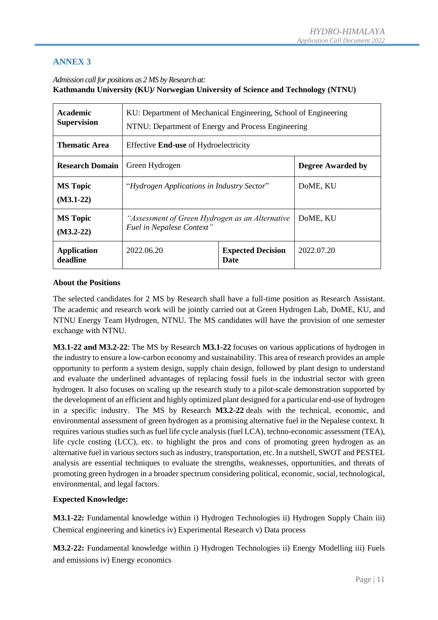#### <span id="page-12-0"></span>*Admission call for positions as 2 MS by Research at:* **Kathmandu University (KU)/ Norwegian University of Science and Technology (NTNU)**

| <b>Academic</b><br><b>Supervision</b>                                        | KU: Department of Mechanical Engineering, School of Engineering<br>NTNU: Department of Energy and Process Engineering |                                         |            |  |
|------------------------------------------------------------------------------|-----------------------------------------------------------------------------------------------------------------------|-----------------------------------------|------------|--|
| <b>Thematic Area</b>                                                         | Effective <b>End-use</b> of Hydroelectricity                                                                          |                                         |            |  |
| <b>Research Domain</b>                                                       | Green Hydrogen                                                                                                        | <b>Degree Awarded by</b>                |            |  |
| "Hydrogen Applications in Industry Sector"<br><b>MS</b> Topic<br>$(M3.1-22)$ |                                                                                                                       | DoME, KU                                |            |  |
| <b>MS</b> Topic<br>$(M3.2-22)$                                               | "Assessment of Green Hydrogen as an Alternative<br>Fuel in Nepalese Context"                                          |                                         | DoME, KU   |  |
| <b>Application</b><br>deadline                                               | 2022.06.20                                                                                                            | <b>Expected Decision</b><br><b>Date</b> | 2022.07.20 |  |

#### **About the Positions**

The selected candidates for 2 MS by Research shall have a full-time position as Research Assistant. The academic and research work will be jointly carried out at Green Hydrogen Lab, DoME, KU, and NTNU Energy Team Hydrogen, NTNU. The MS candidates will have the provision of one semester exchange with NTNU.

**M3.1-22 and M3.2-22**: The MS by Research **M3.1-22** focuses on various applications of hydrogen in the industry to ensure a low-carbon economy and sustainability. This area of research provides an ample opportunity to perform a system design, supply chain design, followed by plant design to understand and evaluate the underlined advantages of replacing fossil fuels in the industrial sector with green hydrogen. It also focuses on scaling up the research study to a pilot-scale demonstration supported by the development of an efficient and highly optimized plant designed for a particular end-use of hydrogen in a specific industry. The MS by Research **M3.2-22** deals with the technical, economic, and environmental assessment of green hydrogen as a promising alternative fuel in the Nepalese context. It requires various studies such as fuel life cycle analysis (fuel LCA), techno-economic assessment (TEA), life cycle costing (LCC), etc. to highlight the pros and cons of promoting green hydrogen as an alternative fuel in various sectors such as industry, transportation, etc. In a nutshell, SWOT and PESTEL analysis are essential techniques to evaluate the strengths, weaknesses, opportunities, and threats of promoting green hydrogen in a broader spectrum considering political, economic, social, technological, environmental, and legal factors.

#### **Expected Knowledge:**

**M3.1-22:** Fundamental knowledge within i) Hydrogen Technologies ii) Hydrogen Supply Chain iii) Chemical engineering and kinetics iv) Experimental Research v) Data process

**M3.2-22:** Fundamental knowledge within i) Hydrogen Technologies ii) Energy Modelling iii) Fuels and emissions iv) Energy economics